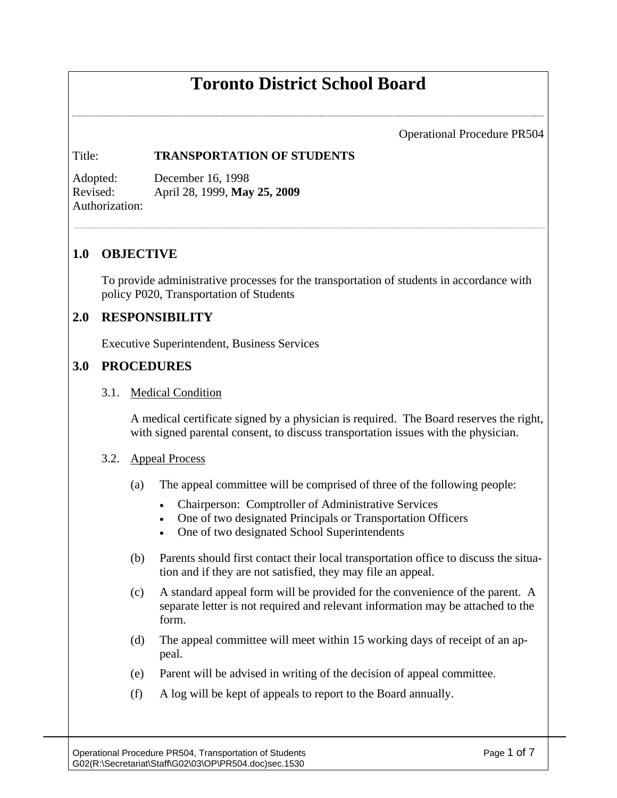# **Toronto District School Board**

Operational Procedure PR504

#### Title: **TRANSPORTATION OF STUDENTS**

Adopted: December 16, 1998 Revised: April 28, 1999, **May 25, 2009**  Authorization:

### **1.0 OBJECTIVE**

To provide administrative processes for the transportation of students in accordance with policy P020, Transportation of Students

## **2.0 RESPONSIBILITY**

Executive Superintendent, Business Services

## **3.0 PROCEDURES**

#### 3.1. Medical Condition

A medical certificate signed by a physician is required. The Board reserves the right, with signed parental consent, to discuss transportation issues with the physician.

#### 3.2. Appeal Process

- (a) The appeal committee will be comprised of three of the following people:
	- Chairperson: Comptroller of Administrative Services
	- One of two designated Principals or Transportation Officers
	- One of two designated School Superintendents
- (b) Parents should first contact their local transportation office to discuss the situation and if they are not satisfied, they may file an appeal.
- (c) A standard appeal form will be provided for the convenience of the parent. A separate letter is not required and relevant information may be attached to the form.
- (d) The appeal committee will meet within 15 working days of receipt of an appeal.
- (e) Parent will be advised in writing of the decision of appeal committee.
- (f) A log will be kept of appeals to report to the Board annually.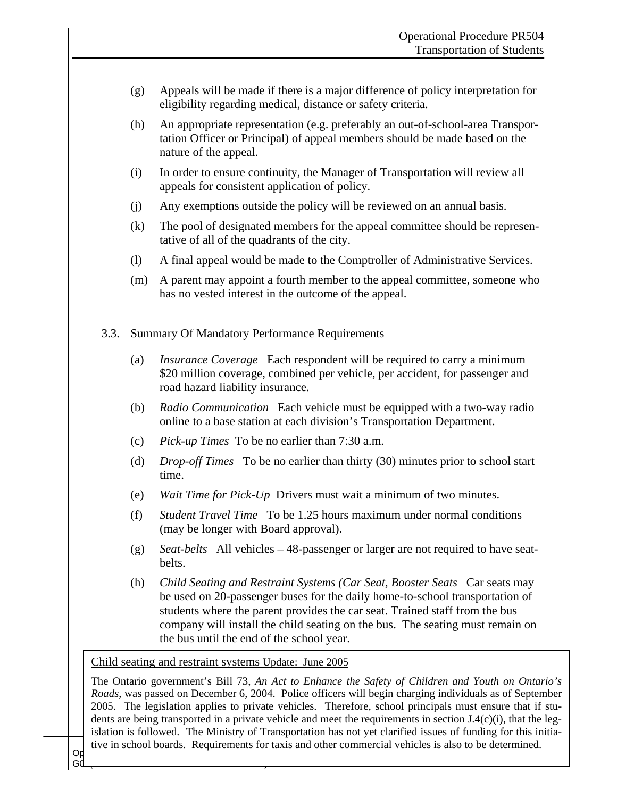- (g) Appeals will be made if there is a major difference of policy interpretation for eligibility regarding medical, distance or safety criteria.
- (h) An appropriate representation (e.g. preferably an out-of-school-area Transportation Officer or Principal) of appeal members should be made based on the nature of the appeal.
- (i) In order to ensure continuity, the Manager of Transportation will review all appeals for consistent application of policy.
- (j) Any exemptions outside the policy will be reviewed on an annual basis.
- (k) The pool of designated members for the appeal committee should be representative of all of the quadrants of the city.
- (l) A final appeal would be made to the Comptroller of Administrative Services.
- (m) A parent may appoint a fourth member to the appeal committee, someone who has no vested interest in the outcome of the appeal.

#### 3.3. Summary Of Mandatory Performance Requirements

- (a) *Insurance Coverage* Each respondent will be required to carry a minimum \$20 million coverage, combined per vehicle, per accident, for passenger and road hazard liability insurance.
- (b) *Radio Communication* Each vehicle must be equipped with a two-way radio online to a base station at each division's Transportation Department.
- (c) *Pick-up Times* To be no earlier than 7:30 a.m.
- (d) *Drop-off Times* To be no earlier than thirty (30) minutes prior to school start time.
- (e) *Wait Time for Pick-Up* Drivers must wait a minimum of two minutes.
- (f) *Student Travel Time* To be 1.25 hours maximum under normal conditions (may be longer with Board approval).
- (g) *Seat-belts* All vehicles 48-passenger or larger are not required to have seatbelts.
- (h) *Child Seating and Restraint Systems (Car Seat, Booster Seats* Car seats may be used on 20-passenger buses for the daily home-to-school transportation of students where the parent provides the car seat. Trained staff from the bus company will install the child seating on the bus. The seating must remain on the bus until the end of the school year.

Child seating and restraint systems Update: June 2005

 $\alpha_{\text{p}}$  tive in school boards. Requirements for taxis and other commercial vehicles is also to be determined. The Ontario government's Bill 73, *An Act to Enhance the Safety of Children and Youth on Ontario's Roads*, was passed on December 6, 2004. Police officers will begin charging individuals as of September 2005. The legislation applies to private vehicles. Therefore, school principals must ensure that if students are being transported in a private vehicle and meet the requirements in section J.4(c)(i), that the legislation is followed. The Ministry of Transportation has not yet clarified issues of funding for this initia-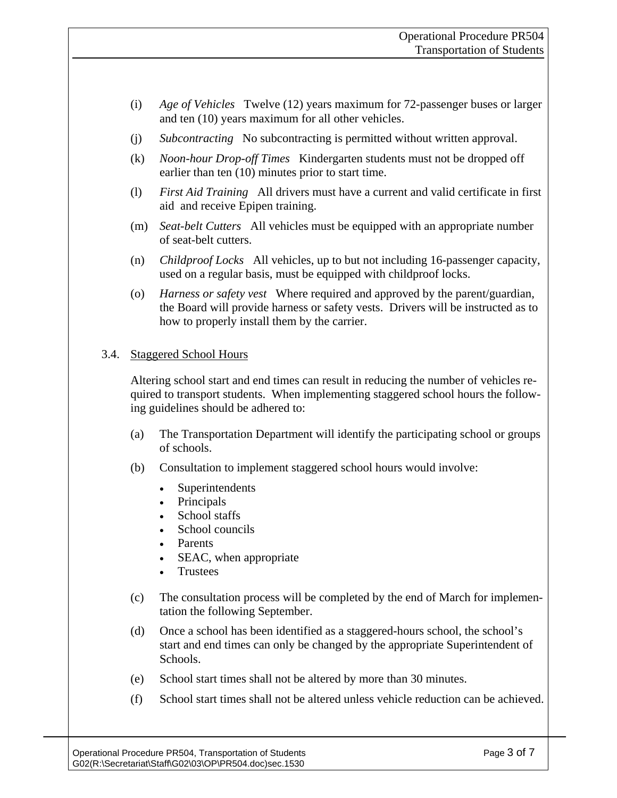- (i) *Age of Vehicles* Twelve (12) years maximum for 72-passenger buses or larger and ten (10) years maximum for all other vehicles.
- (j) *Subcontracting* No subcontracting is permitted without written approval.
- (k) *Noon-hour Drop-off Times* Kindergarten students must not be dropped off earlier than ten (10) minutes prior to start time.
- (l) *First Aid Training* All drivers must have a current and valid certificate in first aid and receive Epipen training.
- (m) *Seat-belt Cutters* All vehicles must be equipped with an appropriate number of seat-belt cutters.
- (n) *Childproof Locks* All vehicles, up to but not including 16-passenger capacity, used on a regular basis, must be equipped with childproof locks.
- (o) *Harness or safety vest* Where required and approved by the parent/guardian, the Board will provide harness or safety vests. Drivers will be instructed as to how to properly install them by the carrier.

#### 3.4. Staggered School Hours

Altering school start and end times can result in reducing the number of vehicles required to transport students. When implementing staggered school hours the following guidelines should be adhered to:

- (a) The Transportation Department will identify the participating school or groups of schools.
- (b) Consultation to implement staggered school hours would involve:
	- Superintendents
	- Principals
	- School staffs
	- School councils
	- Parents
	- SEAC, when appropriate
	- **Trustees**
- (c) The consultation process will be completed by the end of March for implementation the following September.
- (d) Once a school has been identified as a staggered-hours school, the school's start and end times can only be changed by the appropriate Superintendent of Schools.
- (e) School start times shall not be altered by more than 30 minutes.
- (f) School start times shall not be altered unless vehicle reduction can be achieved.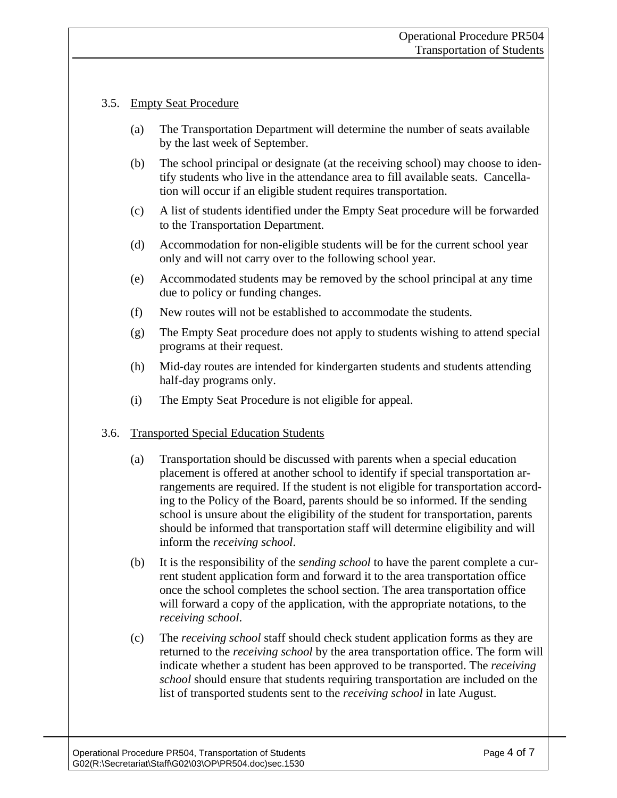## 3.5. Empty Seat Procedure

- (a) The Transportation Department will determine the number of seats available by the last week of September.
- (b) The school principal or designate (at the receiving school) may choose to identify students who live in the attendance area to fill available seats. Cancellation will occur if an eligible student requires transportation.
- (c) A list of students identified under the Empty Seat procedure will be forwarded to the Transportation Department.
- (d) Accommodation for non-eligible students will be for the current school year only and will not carry over to the following school year.
- (e) Accommodated students may be removed by the school principal at any time due to policy or funding changes.
- (f) New routes will not be established to accommodate the students.
- (g) The Empty Seat procedure does not apply to students wishing to attend special programs at their request.
- (h) Mid-day routes are intended for kindergarten students and students attending half-day programs only.
- (i) The Empty Seat Procedure is not eligible for appeal.

## 3.6. Transported Special Education Students

- (a) Transportation should be discussed with parents when a special education placement is offered at another school to identify if special transportation arrangements are required. If the student is not eligible for transportation according to the Policy of the Board, parents should be so informed. If the sending school is unsure about the eligibility of the student for transportation, parents should be informed that transportation staff will determine eligibility and will inform the *receiving school*.
- (b) It is the responsibility of the *sending school* to have the parent complete a current student application form and forward it to the area transportation office once the school completes the school section. The area transportation office will forward a copy of the application, with the appropriate notations, to the *receiving school*.
- (c) The *receiving school* staff should check student application forms as they are returned to the *receiving school* by the area transportation office. The form will indicate whether a student has been approved to be transported. The *receiving school* should ensure that students requiring transportation are included on the list of transported students sent to the *receiving school* in late August.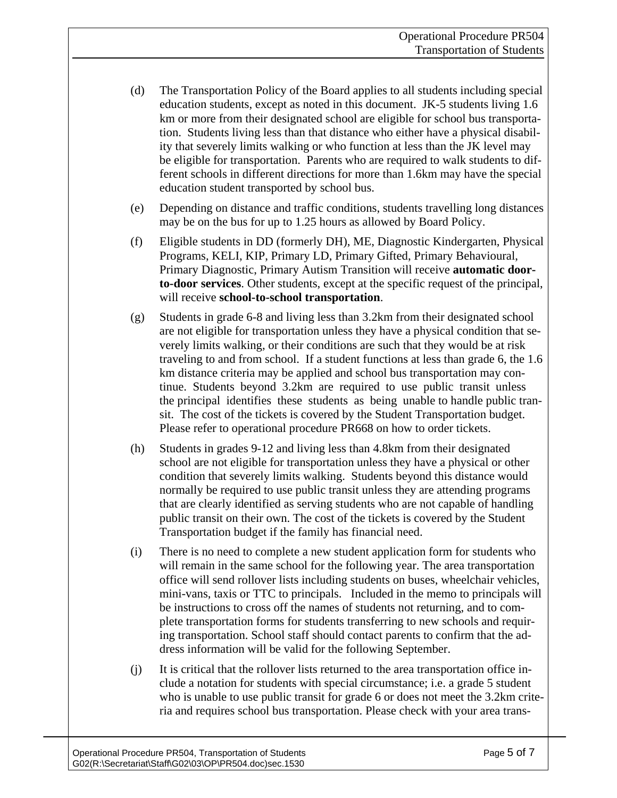- (d) The Transportation Policy of the Board applies to all students including special education students, except as noted in this document. JK-5 students living 1.6 km or more from their designated school are eligible for school bus transportation. Students living less than that distance who either have a physical disability that severely limits walking or who function at less than the JK level may be eligible for transportation. Parents who are required to walk students to different schools in different directions for more than 1.6km may have the special education student transported by school bus.
- (e) Depending on distance and traffic conditions, students travelling long distances may be on the bus for up to 1.25 hours as allowed by Board Policy.
- (f) Eligible students in DD (formerly DH), ME, Diagnostic Kindergarten, Physical Programs, KELI, KIP, Primary LD, Primary Gifted, Primary Behavioural, Primary Diagnostic, Primary Autism Transition will receive **automatic doorto-door services**. Other students, except at the specific request of the principal, will receive **school-to-school transportation**.
- (g) Students in grade 6-8 and living less than 3.2km from their designated school are not eligible for transportation unless they have a physical condition that severely limits walking, or their conditions are such that they would be at risk traveling to and from school. If a student functions at less than grade 6, the 1.6 km distance criteria may be applied and school bus transportation may continue. Students beyond 3.2km are required to use public transit unless the principal identifies these students as being unable to handle public transit. The cost of the tickets is covered by the Student Transportation budget. Please refer to operational procedure PR668 on how to order tickets.
- (h) Students in grades 9-12 and living less than 4.8km from their designated school are not eligible for transportation unless they have a physical or other condition that severely limits walking. Students beyond this distance would normally be required to use public transit unless they are attending programs that are clearly identified as serving students who are not capable of handling public transit on their own. The cost of the tickets is covered by the Student Transportation budget if the family has financial need.
- (i) There is no need to complete a new student application form for students who will remain in the same school for the following year. The area transportation office will send rollover lists including students on buses, wheelchair vehicles, mini-vans, taxis or TTC to principals. Included in the memo to principals will be instructions to cross off the names of students not returning, and to complete transportation forms for students transferring to new schools and requiring transportation. School staff should contact parents to confirm that the address information will be valid for the following September.
- (j) It is critical that the rollover lists returned to the area transportation office include a notation for students with special circumstance; i.e. a grade 5 student who is unable to use public transit for grade 6 or does not meet the 3.2km criteria and requires school bus transportation. Please check with your area trans-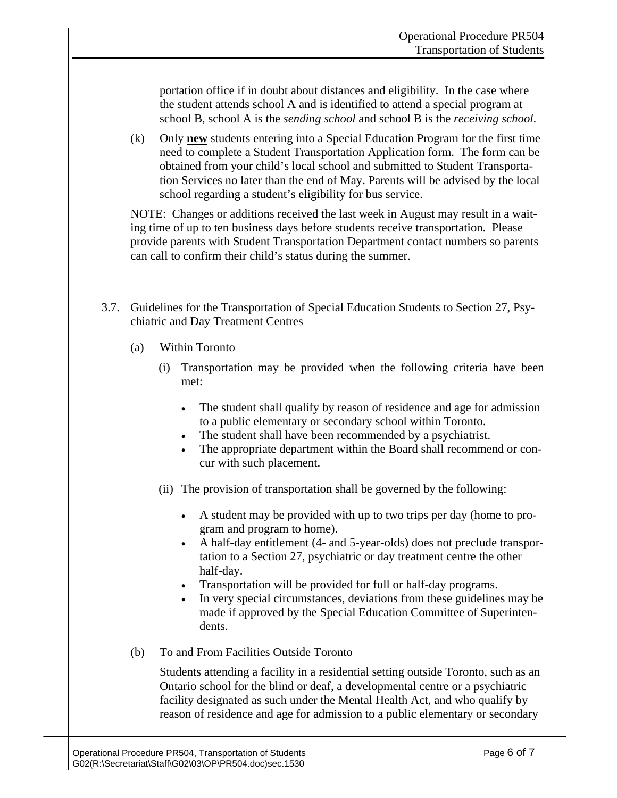portation office if in doubt about distances and eligibility. In the case where the student attends school A and is identified to attend a special program at school B, school A is the *sending school* and school B is the *receiving school*.

(k) Only **new** students entering into a Special Education Program for the first time need to complete a Student Transportation Application form. The form can be obtained from your child's local school and submitted to Student Transportation Services no later than the end of May. Parents will be advised by the local school regarding a student's eligibility for bus service.

NOTE: Changes or additions received the last week in August may result in a waiting time of up to ten business days before students receive transportation. Please provide parents with Student Transportation Department contact numbers so parents can call to confirm their child's status during the summer.

### 3.7. Guidelines for the Transportation of Special Education Students to Section 27, Psychiatric and Day Treatment Centres

- (a) Within Toronto
	- (i) Transportation may be provided when the following criteria have been met:
		- The student shall qualify by reason of residence and age for admission to a public elementary or secondary school within Toronto.
		- The student shall have been recommended by a psychiatrist.
		- The appropriate department within the Board shall recommend or concur with such placement.
	- (ii) The provision of transportation shall be governed by the following:
		- A student may be provided with up to two trips per day (home to program and program to home).
		- A half-day entitlement (4- and 5-year-olds) does not preclude transportation to a Section 27, psychiatric or day treatment centre the other half-day.
		- Transportation will be provided for full or half-day programs.
		- In very special circumstances, deviations from these guidelines may be made if approved by the Special Education Committee of Superintendents.
- (b) To and From Facilities Outside Toronto

Students attending a facility in a residential setting outside Toronto, such as an Ontario school for the blind or deaf, a developmental centre or a psychiatric facility designated as such under the Mental Health Act, and who qualify by reason of residence and age for admission to a public elementary or secondary